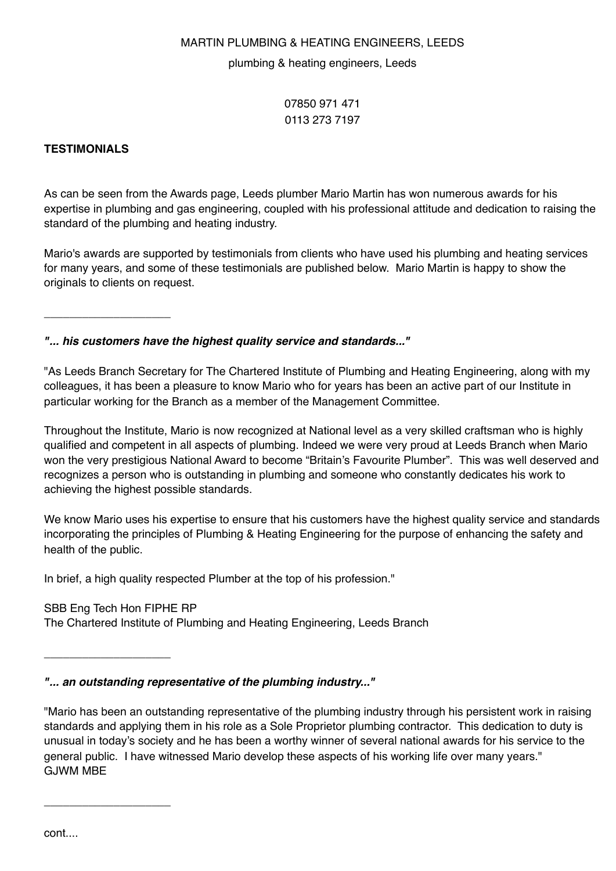#### plumbing & heating engineers, Leeds

07850 971 471 0113 273 7197

## **TESTIMONIALS**

As can be seen from the Awards page, Leeds plumber Mario Martin has won numerous awards for his expertise in plumbing and gas engineering, coupled with his professional attitude and dedication to raising the standard of the plumbing and heating industry.

Mario's awards are supported by testimonials from clients who have used his plumbing and heating services for many years, and some of these testimonials are published below. Mario Martin is happy to show the originals to clients on request.

\_\_\_\_\_\_\_\_\_\_\_\_\_\_\_\_\_\_\_\_

*"... his customers have the highest quality service and standards..."*

"As Leeds Branch Secretary for The Chartered Institute of Plumbing and Heating Engineering, along with my colleagues, it has been a pleasure to know Mario who for years has been an active part of our Institute in particular working for the Branch as a member of the Management Committee.

Throughout the Institute, Mario is now recognized at National level as a very skilled craftsman who is highly qualified and competent in all aspects of plumbing. Indeed we were very proud at Leeds Branch when Mario won the very prestigious National Award to become "Britain's Favourite Plumber". This was well deserved and recognizes a person who is outstanding in plumbing and someone who constantly dedicates his work to achieving the highest possible standards.

We know Mario uses his expertise to ensure that his customers have the highest quality service and standards incorporating the principles of Plumbing & Heating Engineering for the purpose of enhancing the safety and health of the public.

In brief, a high quality respected Plumber at the top of his profession."

#### SBB Eng Tech Hon FIPHE RP

\_\_\_\_\_\_\_\_\_\_\_\_\_\_\_\_\_\_\_\_

\_\_\_\_\_\_\_\_\_\_\_\_\_\_\_\_\_\_\_\_

The Chartered Institute of Plumbing and Heating Engineering, Leeds Branch

*"... an outstanding representative of the plumbing industry..."*

"Mario has been an outstanding representative of the plumbing industry through his persistent work in raising standards and applying them in his role as a Sole Proprietor plumbing contractor. This dedication to duty is unusual in today's society and he has been a worthy winner of several national awards for his service to the general public. I have witnessed Mario develop these aspects of his working life over many years." GJWM MBE

cont....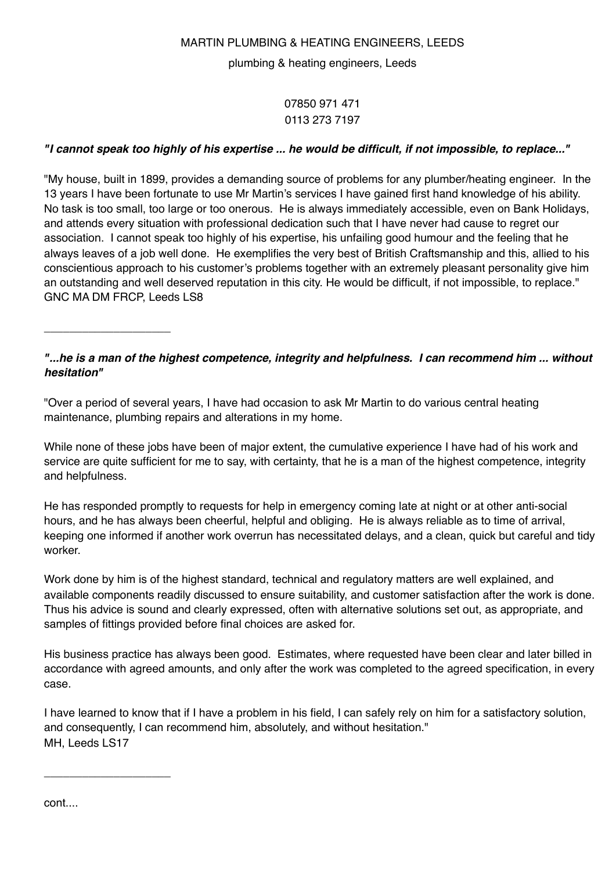plumbing & heating engineers, Leeds

07850 971 471 0113 273 7197

# *"I cannot speak too highly of his expertise ... he would be difficult, if not impossible, to replace..."*

"My house, built in 1899, provides a demanding source of problems for any plumber/heating engineer. In the 13 years I have been fortunate to use Mr Martin's services I have gained first hand knowledge of his ability. No task is too small, too large or too onerous. He is always immediately accessible, even on Bank Holidays, and attends every situation with professional dedication such that I have never had cause to regret our association. I cannot speak too highly of his expertise, his unfailing good humour and the feeling that he always leaves of a job well done. He exemplifies the very best of British Craftsmanship and this, allied to his conscientious approach to his customer's problems together with an extremely pleasant personality give him an outstanding and well deserved reputation in this city. He would be difficult, if not impossible, to replace." GNC MA DM FRCP, Leeds LS8

\_\_\_\_\_\_\_\_\_\_\_\_\_\_\_\_\_\_\_\_

# *"...he is a man of the highest competence, integrity and helpfulness. I can recommend him ... without hesitation"*

"Over a period of several years, I have had occasion to ask Mr Martin to do various central heating maintenance, plumbing repairs and alterations in my home.

While none of these jobs have been of major extent, the cumulative experience I have had of his work and service are quite sufficient for me to say, with certainty, that he is a man of the highest competence, integrity and helpfulness.

He has responded promptly to requests for help in emergency coming late at night or at other anti-social hours, and he has always been cheerful, helpful and obliging. He is always reliable as to time of arrival, keeping one informed if another work overrun has necessitated delays, and a clean, quick but careful and tidy worker.

Work done by him is of the highest standard, technical and regulatory matters are well explained, and available components readily discussed to ensure suitability, and customer satisfaction after the work is done. Thus his advice is sound and clearly expressed, often with alternative solutions set out, as appropriate, and samples of fittings provided before final choices are asked for.

His business practice has always been good. Estimates, where requested have been clear and later billed in accordance with agreed amounts, and only after the work was completed to the agreed specification, in every case.

I have learned to know that if I have a problem in his field, I can safely rely on him for a satisfactory solution, and consequently, I can recommend him, absolutely, and without hesitation." MH, Leeds LS17

cont....

\_\_\_\_\_\_\_\_\_\_\_\_\_\_\_\_\_\_\_\_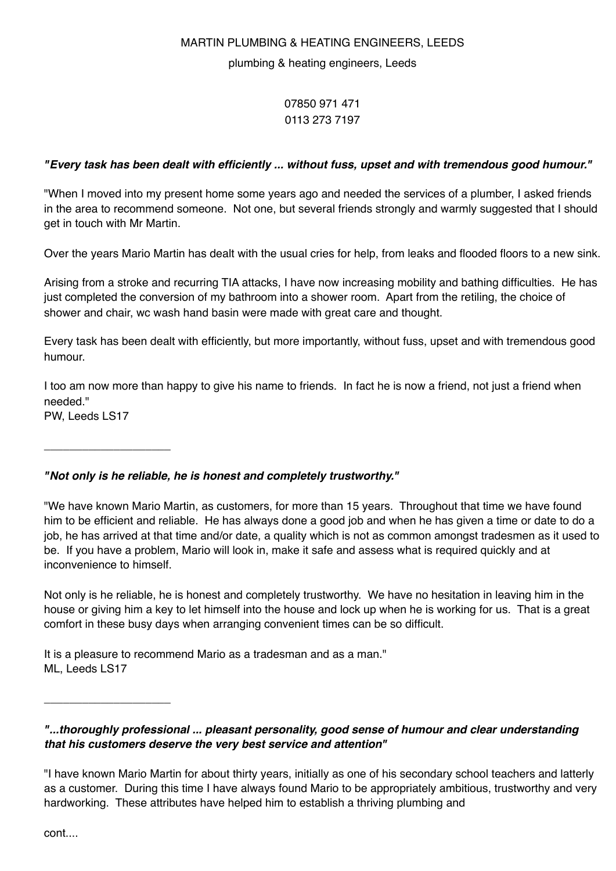#### plumbing & heating engineers, Leeds

# 07850 971 471 0113 273 7197

# *"Every task has been dealt with efficiently ... without fuss, upset and with tremendous good humour."*

"When I moved into my present home some years ago and needed the services of a plumber, I asked friends in the area to recommend someone. Not one, but several friends strongly and warmly suggested that I should get in touch with Mr Martin.

Over the years Mario Martin has dealt with the usual cries for help, from leaks and flooded floors to a new sink.

Arising from a stroke and recurring TIA attacks, I have now increasing mobility and bathing difficulties. He has just completed the conversion of my bathroom into a shower room. Apart from the retiling, the choice of shower and chair, wc wash hand basin were made with great care and thought.

Every task has been dealt with efficiently, but more importantly, without fuss, upset and with tremendous good humour.

I too am now more than happy to give his name to friends. In fact he is now a friend, not just a friend when needed."

PW, Leeds LS17

\_\_\_\_\_\_\_\_\_\_\_\_\_\_\_\_\_\_\_\_

\_\_\_\_\_\_\_\_\_\_\_\_\_\_\_\_\_\_\_\_

# *"Not only is he reliable, he is honest and completely trustworthy."*

"We have known Mario Martin, as customers, for more than 15 years. Throughout that time we have found him to be efficient and reliable. He has always done a good job and when he has given a time or date to do a job, he has arrived at that time and/or date, a quality which is not as common amongst tradesmen as it used to be. If you have a problem, Mario will look in, make it safe and assess what is required quickly and at inconvenience to himself.

Not only is he reliable, he is honest and completely trustworthy. We have no hesitation in leaving him in the house or giving him a key to let himself into the house and lock up when he is working for us. That is a great comfort in these busy days when arranging convenient times can be so difficult.

It is a pleasure to recommend Mario as a tradesman and as a man." ML, Leeds LS17

*"...thoroughly professional ... pleasant personality, good sense of humour and clear understanding that his customers deserve the very best service and attention"*

cont....

<sup>&</sup>quot;I have known Mario Martin for about thirty years, initially as one of his secondary school teachers and latterly as a customer. During this time I have always found Mario to be appropriately ambitious, trustworthy and very hardworking. These attributes have helped him to establish a thriving plumbing and